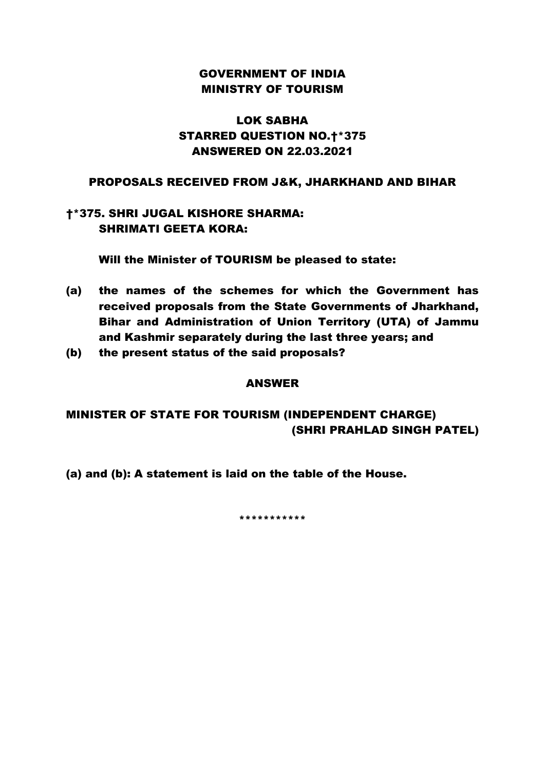# GOVERNMENT OF INDIA MINISTRY OF TOURISM

# LOK SABHA STARRED QUESTION NO.†\*375 ANSWERED ON 22.03.2021

## PROPOSALS RECEIVED FROM J&K, JHARKHAND AND BIHAR

# †\*375. SHRI JUGAL KISHORE SHARMA: SHRIMATI GEETA KORA:

Will the Minister of TOURISM be pleased to state:

- (a) the names of the schemes for which the Government has received proposals from the State Governments of Jharkhand, Bihar and Administration of Union Territory (UTA) of Jammu and Kashmir separately during the last three years; and
- (b) the present status of the said proposals?

#### ANSWER

# MINISTER OF STATE FOR TOURISM (INDEPENDENT CHARGE) (SHRI PRAHLAD SINGH PATEL)

(a) and (b): A statement is laid on the table of the House.

\*\*\*\*\*\*\*\*\*\*\*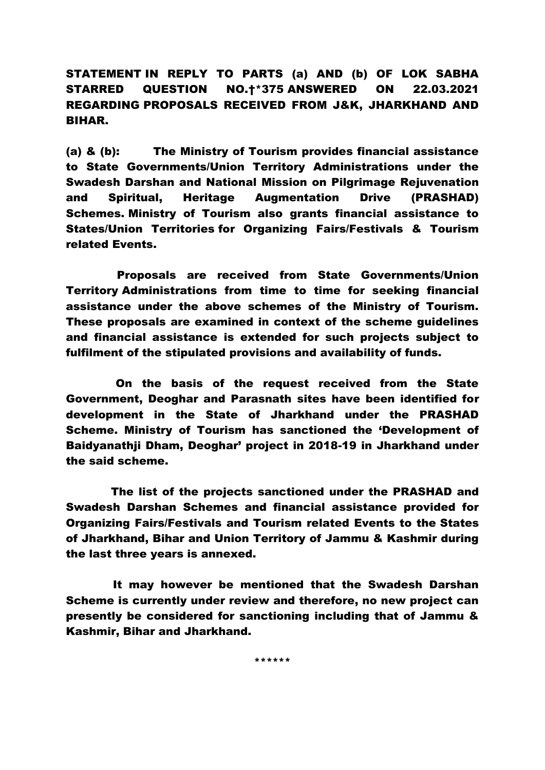STATEMENT IN REPLY TO PARTS (a) AND (b) OF LOK SABHA STARRED QUESTION NO.†\*375 ANSWERED ON 22.03.2021 REGARDING PROPOSALS RECEIVED FROM J&K, JHARKHAND AND BIHAR.

(a) & (b): The Ministry of Tourism provides financial assistance to State Governments/Union Territory Administrations under the Swadesh Darshan and National Mission on Pilgrimage Rejuvenation and Spiritual, Heritage Augmentation Drive (PRASHAD) Schemes. Ministry of Tourism also grants financial assistance to States/Union Territories for Organizing Fairs/Festivals & Tourism related Events.

 Proposals are received from State Governments/Union Territory Administrations from time to time for seeking financial assistance under the above schemes of the Ministry of Tourism. These proposals are examined in context of the scheme guidelines and financial assistance is extended for such projects subject to fulfilment of the stipulated provisions and availability of funds.

 On the basis of the request received from the State Government, Deoghar and Parasnath sites have been identified for development in the State of Jharkhand under the PRASHAD Scheme. Ministry of Tourism has sanctioned the 'Development of Baidyanathii Dham, Deoghar' project in 2018-19 in Jharkhand under the said scheme.

 The list of the projects sanctioned under the PRASHAD and Swadesh Darshan Schemes and financial assistance provided for Organizing Fairs/Festivals and Tourism related Events to the States of Jharkhand, Bihar and Union Territory of Jammu & Kashmir during the last three years is annexed.

 It may however be mentioned that the Swadesh Darshan Scheme is currently under review and therefore, no new project can presently be considered for sanctioning including that of Jammu & Kashmir, Bihar and Jharkhand.

\*\*\*\*\*\*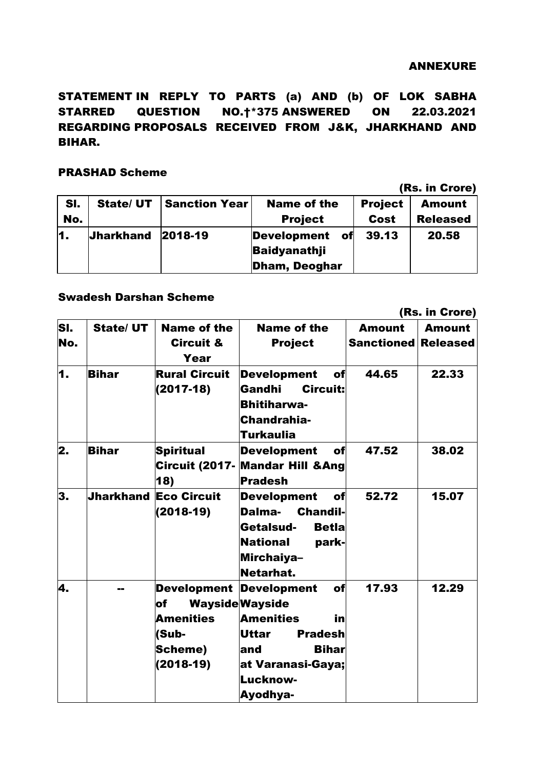### ANNEXURE

STATEMENT IN REPLY TO PARTS (a) AND (b) OF LOK SABHA STARRED QUESTION NO.†\*375 ANSWERED ON 22.03.2021 REGARDING PROPOSALS RECEIVED FROM J&K, JHARKHAND AND BIHAR.

## PRASHAD Scheme

(Rs. in Crore)

| SI.<br>No. | <b>State/ UT</b> | <b>Sanction Year</b> | <b>Name of the</b><br><b>Project</b>                                    | <b>Project</b><br>Cost | <b>Amount</b><br><b>Released</b> |
|------------|------------------|----------------------|-------------------------------------------------------------------------|------------------------|----------------------------------|
| 11.        | <b>Jharkhand</b> | 2018-19              | of<br><b>Development</b><br><b>Baidyanathji</b><br><b>Dham, Deoghar</b> | 39.13                  | 20.58                            |

## Swadesh Darshan Scheme

|     |                  |                                                                                  |                                                                                                                                                                                            | (Rs. in Crore)             |               |
|-----|------------------|----------------------------------------------------------------------------------|--------------------------------------------------------------------------------------------------------------------------------------------------------------------------------------------|----------------------------|---------------|
| SI. | <b>State/ UT</b> | <b>Name of the</b>                                                               | <b>Name of the</b>                                                                                                                                                                         | <b>Amount</b>              | <b>Amount</b> |
| No. |                  | <b>Circuit &amp;</b><br>Year                                                     | <b>Project</b>                                                                                                                                                                             | <b>Sanctioned Released</b> |               |
| 1.  | <b>Bihar</b>     | <b>Rural Circuit</b><br>$(2017-18)$                                              | <b>Development</b><br>of<br>Gandhi<br><b>Circuit:</b><br><b>Bhitiharwa-</b><br>Chandrahia-<br>Turkaulia                                                                                    | 44.65                      | 22.33         |
| 2.  | <b>Bihar</b>     | <b>Spiritual</b><br><b>Circuit (2017-</b><br>18)                                 | of<br><b>Development</b><br><b>Mandar Hill &amp; Ang</b><br><b>Pradesh</b>                                                                                                                 | 47.52                      | 38.02         |
| 3.  |                  | <b>Jharkhand Eco Circuit</b><br>$(2018-19)$                                      | <b>Development</b><br>of<br><b>Chandil-</b><br>Dalma-<br>Getalsud-<br><b>Betla</b><br><b>National</b><br>park-<br>Mirchaiya-<br>Netarhat.                                                  | 52.72                      | 15.07         |
| 4.  | --               | <b>Development</b><br>lof<br><b>Amenities</b><br>(Sub-<br>Scheme)<br>$(2018-19)$ | <b>Development</b><br>of<br><b>Wayside Wayside</b><br><b>Amenities</b><br>in<br><b>Uttar</b><br><b>Pradesh</b><br><b>Bihar</b><br>land<br>at Varanasi-Gaya;<br>Lucknow-<br><b>Ayodhya-</b> | 17.93                      | 12.29         |